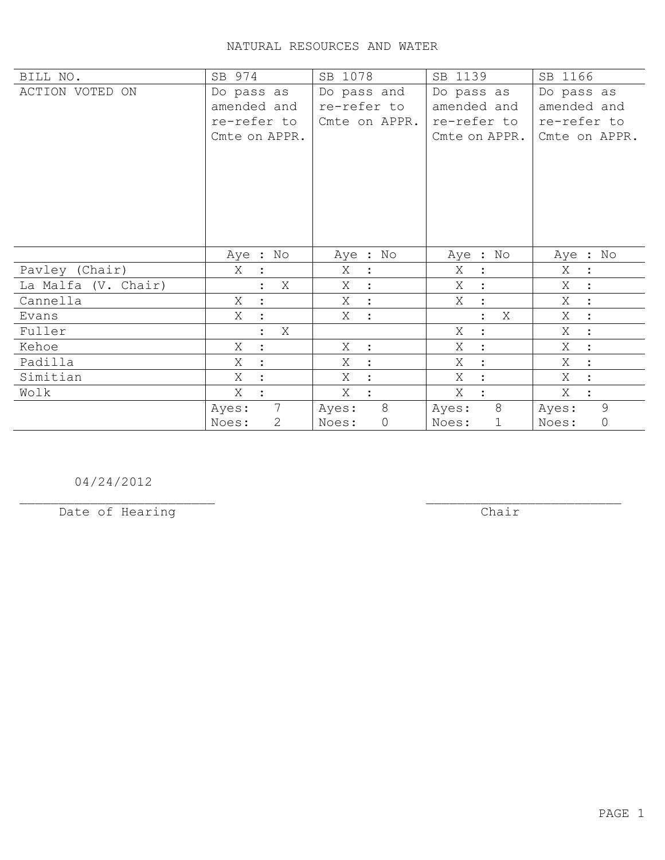| BILL NO.            | SB 974                    | SB 1078                      | SB 1139             | SB 1166                     |
|---------------------|---------------------------|------------------------------|---------------------|-----------------------------|
| ACTION VOTED ON     | Do pass as                | Do pass and                  | Do pass as          | Do pass as                  |
|                     | amended and               | re-refer to                  | amended and         | amended and                 |
|                     | re-refer to               | Cmte on APPR.                | re-refer to         | re-refer to                 |
|                     | Cmte on APPR.             |                              | Cmte on APPR.       | Cmte on APPR.               |
|                     |                           |                              |                     |                             |
|                     |                           |                              |                     |                             |
|                     |                           |                              |                     |                             |
|                     |                           |                              |                     |                             |
|                     |                           |                              |                     |                             |
|                     |                           |                              |                     |                             |
|                     | Aye : No                  | Aye : No                     | Aye : No            | Aye : No                    |
| Pavley (Chair)      | Χ<br>$\ddot{\cdot}$       | Χ<br>$\ddot{\cdot}$          | Χ<br>$\ddot{\cdot}$ | Χ<br>$\ddot{\phantom{1}}$ : |
| La Malfa (V. Chair) | Χ                         | X<br>$\ddot{\cdot}$          | X<br>$\ddot{\cdot}$ | Χ<br>$\ddot{\phantom{a}}$   |
| Cannella            | X<br>$\ddot{ }$           | X<br>$\sim$ $\sim$           | Χ<br>$\ddot{\cdot}$ | Χ<br>$\sim$                 |
| Evans               | X<br>$\ddot{\cdot}$       | Χ<br>$\tilde{\phantom{a}}$ : | X<br>$\ddot{\cdot}$ | X<br>$\mathbb{R}^2$         |
| Fuller              | Χ<br>$\ddot{\phantom{a}}$ |                              | Χ<br>$\ddot{\cdot}$ | Χ<br>$\ddot{\cdot}$         |
| Kehoe               | Χ<br>$\ddot{\cdot}$       | Χ<br>$\mathbf{L}$            | X<br>$\ddot{\cdot}$ | X<br>$\ddot{\cdot}$         |
| Padilla             | Χ<br>$\ddot{\cdot}$       | Χ<br>$\ddot{\cdot}$          | Χ<br>$\cdot$        | Χ<br>$\ddot{\cdot}$         |
| Simitian            | X<br>$\ddot{\cdot}$       | X<br>$\ddot{\cdot}$          | X<br>$\ddot{\cdot}$ | X                           |
| Wolk                | Χ                         | X<br>$\ddot{\cdot}$          | X                   | X<br>$\ddot{\cdot}$         |
|                     | $7\overline{ }$<br>Ayes:  | 8<br>Ayes:                   | 8<br>Ayes:          | 9<br>Ayes:                  |
|                     | Noes:<br>2                | $\mathbb O$<br>Noes:         | Noes:<br>1          | $\circ$<br>Noes:            |

04/24/2012

Date of Hearing

 $\overline{**chair**}$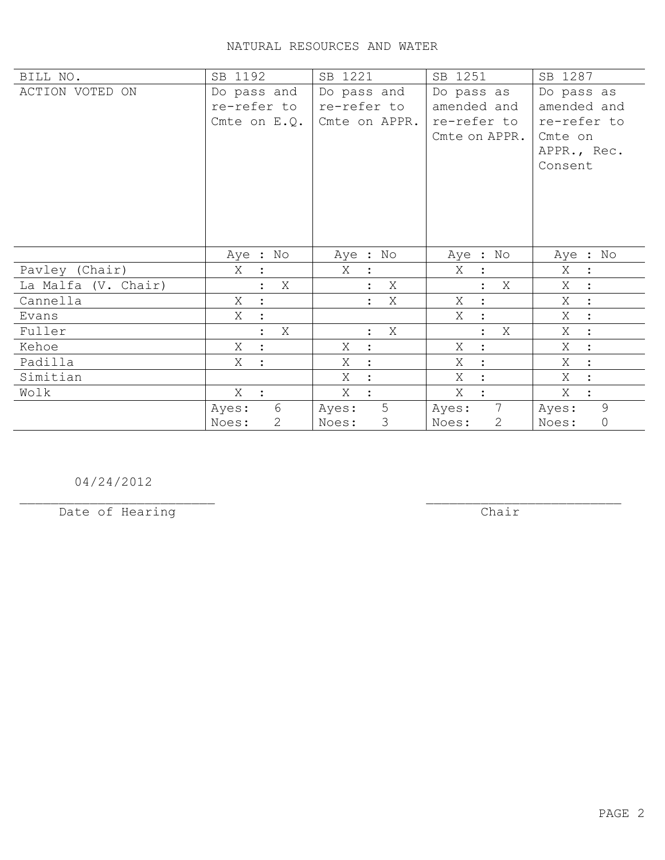| BILL NO.            | SB 1192             | SB 1221                     | SB 1251                  | SB 1287                            |
|---------------------|---------------------|-----------------------------|--------------------------|------------------------------------|
| ACTION VOTED ON     | Do pass and         | Do pass and                 | Do pass as               | Do pass as                         |
|                     | re-refer to         | re-refer to                 | amended and              | amended and                        |
|                     | Cmte on $E.Q.$      | Cmte on APPR.               | re-refer to              | re-refer to                        |
|                     |                     |                             | Cmte on APPR.            | Cmte on                            |
|                     |                     |                             |                          | APPR., Rec.                        |
|                     |                     |                             |                          | Consent                            |
|                     |                     |                             |                          |                                    |
|                     |                     |                             |                          |                                    |
|                     |                     |                             |                          |                                    |
|                     |                     |                             |                          |                                    |
|                     |                     |                             |                          |                                    |
|                     |                     |                             |                          |                                    |
|                     | Aye : No            | Aye : No                    | Aye : No                 | Aye : No                           |
| Pavley (Chair)      | Χ                   | X                           | Χ                        | Χ<br>$\ddot{\cdot}$                |
| La Malfa (V. Chair) | Χ                   | X                           | Χ                        | X<br>$\ddot{\phantom{0}}$ :        |
| Cannella            | X<br>$\ddot{\cdot}$ | Χ                           | X<br>$\ddot{\cdot}$      | Χ<br>$\sim$ 1 $^{\circ}$           |
| Evans               | X                   |                             | Χ                        | $X_{\mathbb{C}}$<br>$\ddot{\cdot}$ |
| Fuller              | X<br>$\bullet$      | X<br>$\ddot{\phantom{a}}$   | X<br>$\cdot$             | Χ<br>$\cdot$                       |
| Kehoe               | Χ                   | Χ<br>$\ddot{\phantom{a}}$ : | Χ                        | X                                  |
| Padilla             | Χ                   | Χ<br>$\ddot{\cdot}$         | Χ                        | Χ                                  |
| Simitian            |                     | X<br>$\ddot{\cdot}$         | X                        | X                                  |
| Wolk                | $X$ :               | Χ<br>$\ddot{\cdot}$         | X                        | X<br>$\ddot{\phantom{a}}$          |
|                     | 6<br>Ayes:          | 5<br>Ayes:                  | $7\phantom{.0}$<br>Ayes: | 9<br>Ayes:                         |

04/24/2012

Date of Hearing

 $\overline{**chair**}$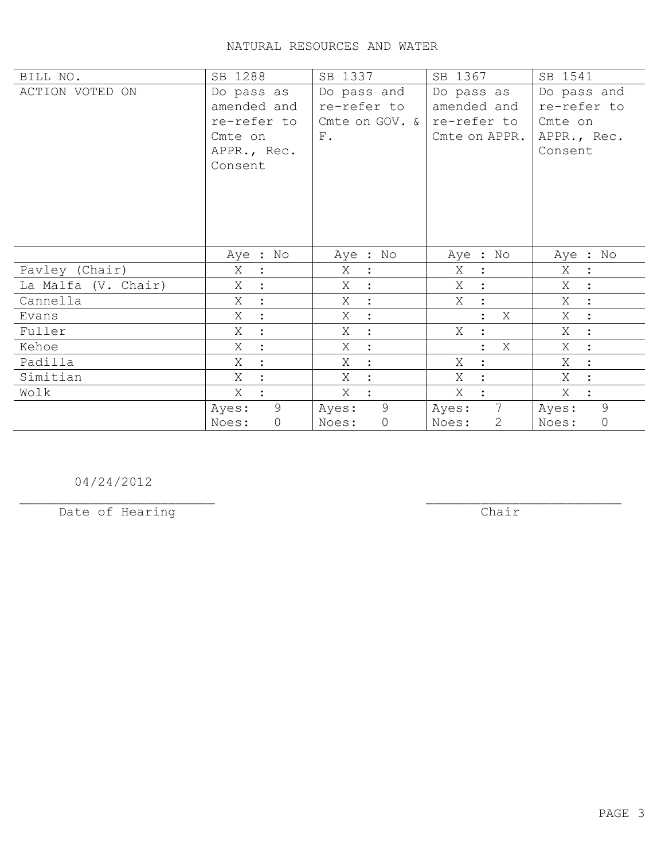| BILL NO.            | SB 1288             | SB 1337                       | SB 1367                  | SB 1541                   |
|---------------------|---------------------|-------------------------------|--------------------------|---------------------------|
| ACTION VOTED ON     | Do pass as          | Do pass and                   | Do pass as               | Do pass and               |
|                     | amended and         | re-refer to                   | amended and              | re-refer to               |
|                     | re-refer to         | Cmte on GOV. $\&$ re-refer to |                          | Cmte on                   |
|                     | Cmte on             | ${\rm F}$ .                   | Cmte on APPR.            | APPR., Rec.               |
|                     | APPR., Rec.         |                               |                          | Consent                   |
|                     | Consent             |                               |                          |                           |
|                     |                     |                               |                          |                           |
|                     |                     |                               |                          |                           |
|                     |                     |                               |                          |                           |
|                     |                     |                               |                          |                           |
|                     |                     |                               |                          |                           |
|                     | Aye : No            | Aye : No                      | Aye : No                 | Aye : No                  |
| Pavley (Chair)      | Χ<br>$\ddot{\cdot}$ | Χ<br>$\mathbf{L}$             | Χ<br>$\ddot{\cdot}$      | Χ<br>$\ddot{\phantom{1}}$ |
| La Malfa (V. Chair) | Χ                   | Χ<br>$\ddot{\cdot}$           | X                        | Χ<br>$\mathbf{r}$         |
| Cannella            | Χ<br>$\ddot{ }$     | X<br>$\sim$ 1 $^{\circ}$      | X<br>$\ddot{\cdot}$      | Χ<br>$\mathbb{R}^2$       |
| Evans               | X<br>$\ddot{\cdot}$ | Χ<br>$\sim$ 1 $^{\circ}$      | Χ                        | $X_{-}$<br>$\mathbb{R}^2$ |
| Fuller              | Χ                   | Χ<br>$\ddot{\cdot}$           | X<br>$\ddot{\cdot}$      | Χ<br>$\ddot{\phantom{a}}$ |
| Kehoe               | Χ                   | Χ<br>$\ddot{\cdot}$           | Χ<br>$\cdot$             | X<br>$\ddot{\cdot}$       |
| Padilla             | Χ                   | Χ<br>$\ddot{\cdot}$           | Χ                        | Χ<br>$\ddot{\cdot}$       |
| Simitian            | X                   | X<br>$\ddot{\cdot}$           | X                        | X                         |
| Wolk                | X                   | X                             | X                        | X                         |
|                     | 9<br>Ayes:          | 9<br>Ayes:                    | $7\overline{ }$<br>Ayes: | 9<br>Ayes:                |
|                     | $\circ$<br>Noes:    | $\circ$<br>Noes:              | 2<br>Noes:               | $\circledcirc$<br>Noes:   |

04/24/2012

Date of Hearing

 $\overline{**chair**}$